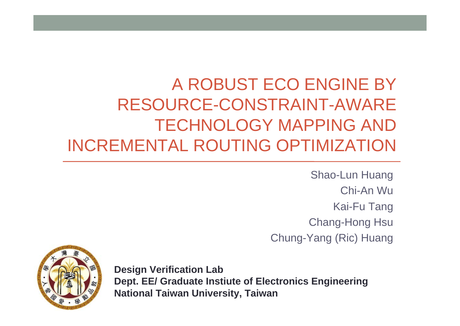#### A ROBUST ECO ENGINE BY RESOURCE-CONSTRAINT-AWARE TECHNOLOGY MAPPING AND INCREMENTAL ROUTING OPTIMIZATION

Shao-Lun Huang Chi-An WuKai-Fu Tang Chang-Hong Hsu Chung-Yang (Ric) Huang



**Design Verification Lab Dept. EE/ Graduate Instiute of Electronics Engineering National Taiwan University, Taiwan**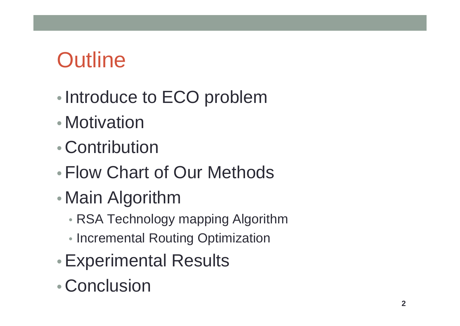### **Outline**

- •• Introduce to ECO problem
- Motivation
- Contribution
- Flow Chart of Our Methods
- • Main Algorithm
	- RSA Technology mapping Algorithm
	- Incremental Routing Optimization
- •Experimental Results
- Conclusion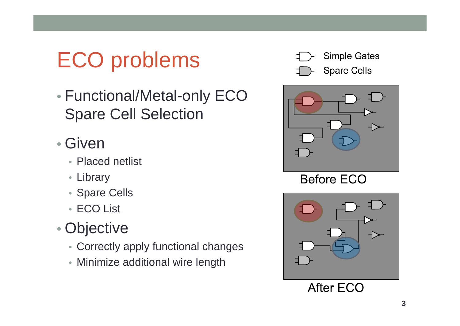# ECO problems

 $\bullet$  Functional/Metal-only ECO Spare Cell Selection

#### • Given

- Placed netlist
- Library
- Spare Cells
- ECO List

#### $\bullet$ Objective

- Correctly apply functional changes
- Minimize additional wire length





**Before ECO** 



**After ECO**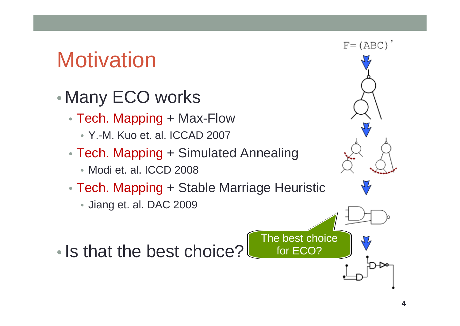#### **Motivation**

- • Many ECO works
	- Tech. Mapping + Max-Flow
		- Y.-M. Kuo et. al. ICCAD 2007
	- Tech. Mapping + Simulated Annealing • Modi et. al. ICCD 2008
	- Tech. Mapping + Stable Marriage Heuristic
		- Jiang et. al. DAC 2009
- Is that the best choice?

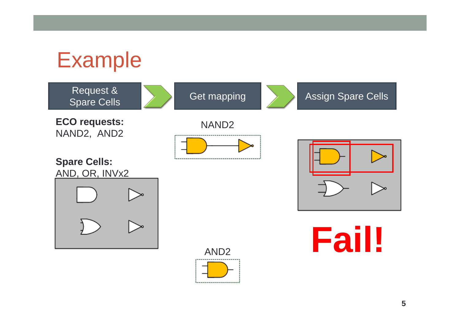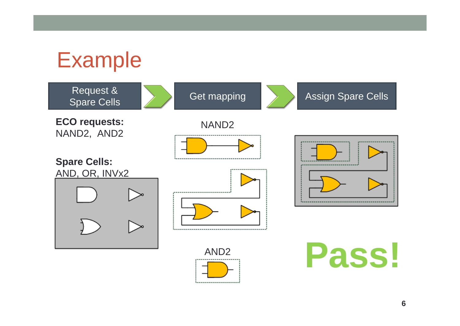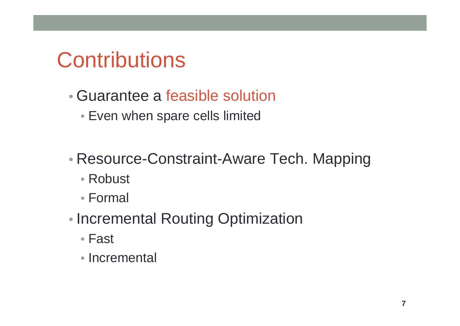#### **Contributions**

- Guarantee a feasible solution
	- Even when spare cells limited
- • Resource-Constraint-Aware Tech. Mapping
	- Robust
	- Formal
- •• Incremental Routing Optimization
	- Fast
	- Incremental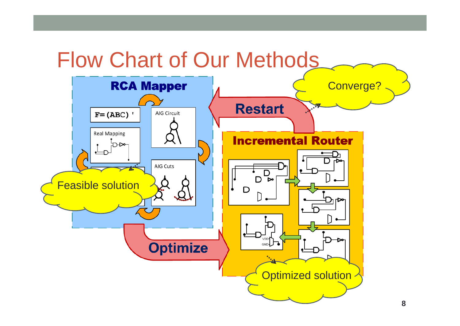#### Flow Chart of Our Methods

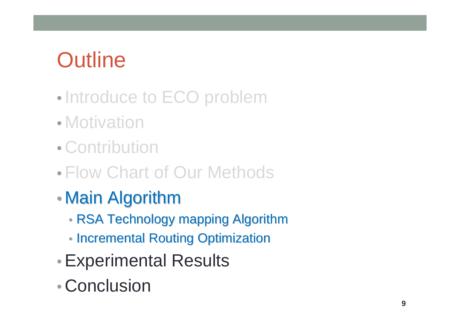## **Outline**

- •• Introduce to ECO problem
- Motivation
- Contribution
- Flow Chart of Our Methods
- $\bullet$  $\bullet$  Main Algorithm
	- RSA Technology mapping Algorithm
	- Incremental Routing Optimization
- •Experimental Results
- Conclusion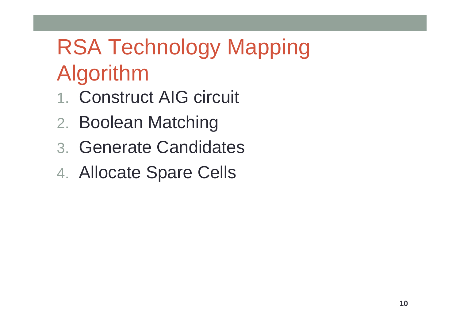## RSA Technology Mapping Algorithm

- 1. Construct AIG circuit
- 2. Boolean Matching
- 3. Generate Candidates
- 4. Allocate Spare Cells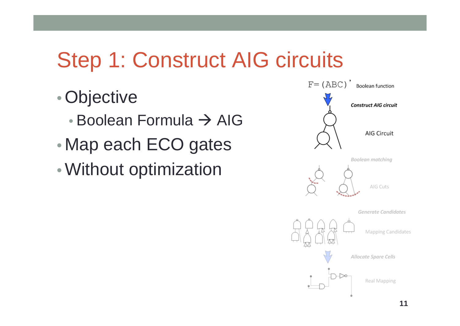### Step 1: Construct AIG circuits

- •Objective
	- Boolean Formula  $\rightarrow$  AIG
- •Map each ECO gates
- •Without optimization

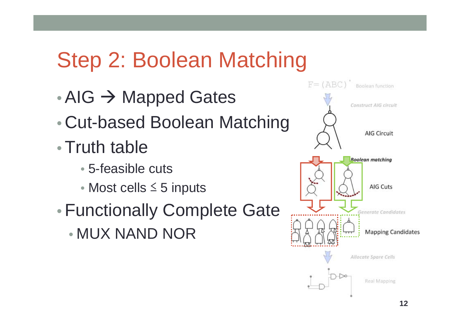#### Step 2: Boolean Matching

- $\bullet$  AIG  $\rightarrow$  Mapped Gates
- •Cut-based Boolean Matching
- Truth table
	- 5-feasible cuts
	- Most cells ≤ 5 inputs
- • Functionally Complete Gate
	- MUX NAND NOR

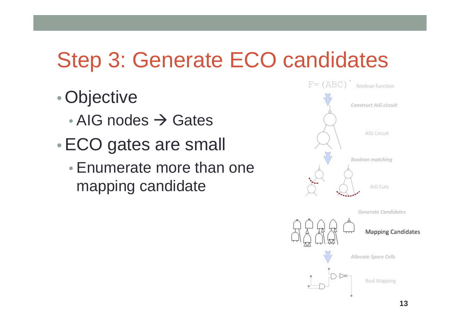### Step 3: Generate ECO candidates

- •Objective
	- AIG nodes  $\rightarrow$  Gates
- •ECO gates are small
	- Enumerate more than one mapping candidate



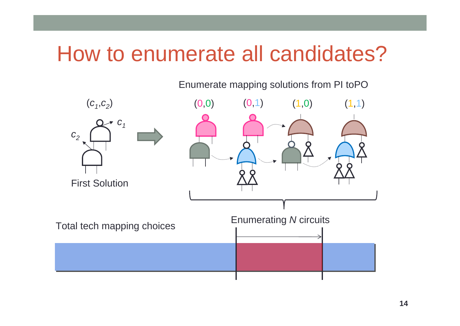#### How to enumerate all candidates?

Enumerate mapping solutions from PI toPO

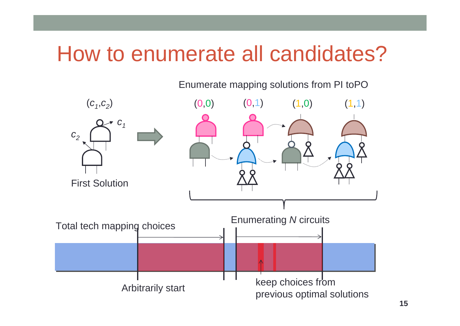#### How to enumerate all candidates?

Enumerate mapping solutions from PI toPO

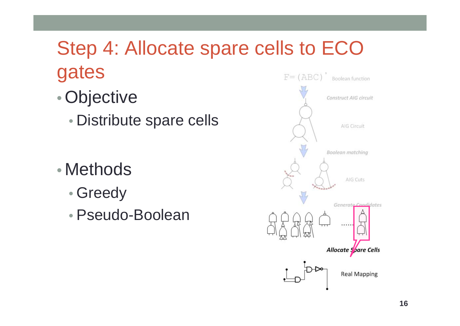#### Step 4: Allocate spare cells to ECO gates  $F = (ABC)$

- •Objective
	- Distribute spare cells

- Methods
	- •Greedy
	- Pseudo-Boolean

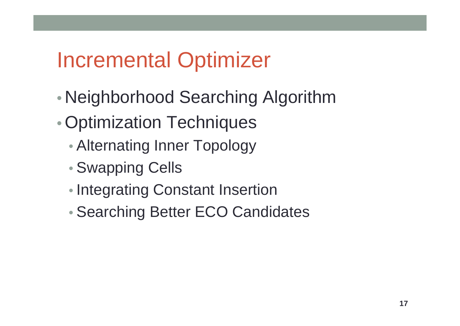#### Incremental Optimizer

- •Neighborhood Searching Algorithm
- Optimization Techniques
	- Alternating Inner Topology
	- •Swapping Cells
	- •• Integrating Constant Insertion
	- •Searching Better ECO Candidates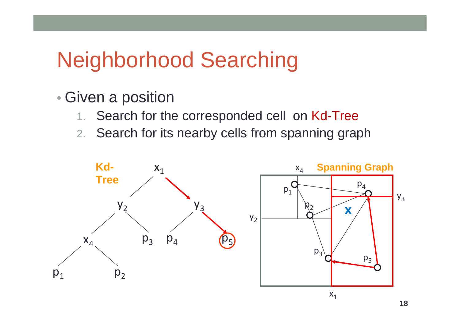#### Neighborhood Searching

- $\bullet$  Given a position
	- 1.Search for the corresponded cell on Kd-Tree
	- 2. Search for its nearby cells from spanning graph

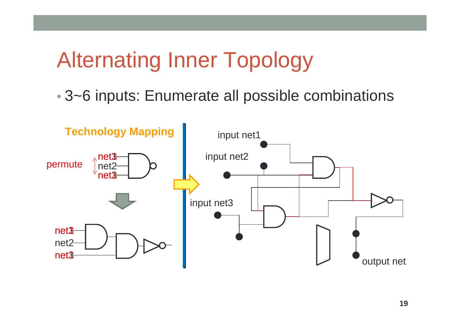### Alternating Inner Topology

• 3~6 inputs: Enumerate all possible combinations

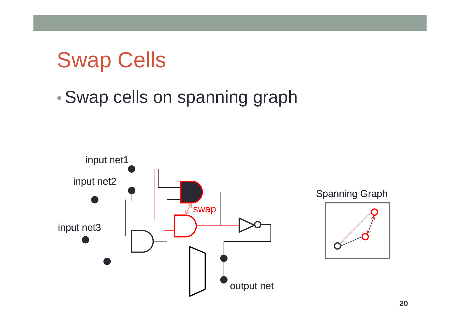#### Swap Cells

•Swap cells on spanning graph

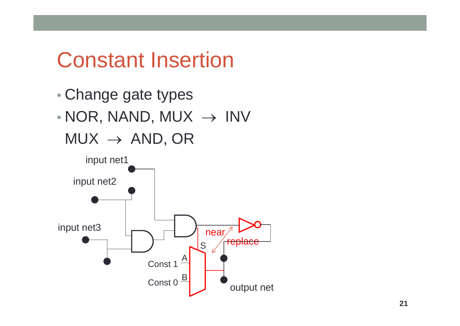#### Constant Insertion

 $\bullet$  Change gate types  $\bullet$  $\bullet$  NOR, NAND, MUX  $\;\rightarrow$  INV  ${\sf MUX}\,\rightarrow\,{\sf AND, \,OR}$ 

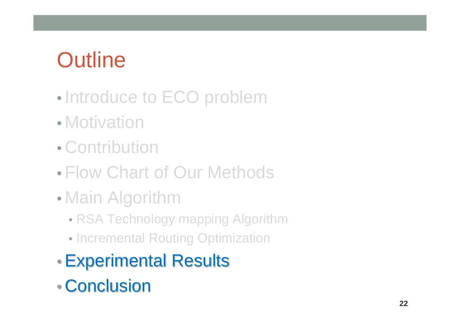## **Outline**

- •• Introduce to ECO problem
- Motivation
- Contribution
- Flow Chart of Our Methods
- • Main Algorithm
	- RSA Technology mapping Algorithm
	- Incremental Routing Optimization
- Experimental Results
- Conclusion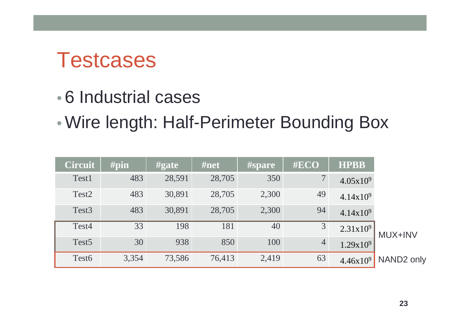#### **Testcases**

- 6 Industrial cases
- •Wire length: Half-Perimeter Bounding Box

|                        | <b>HPBB</b>          | #ECO           | <b>#spare</b> | #net   | $\#$ gate | #pin  | <b>Circuit</b>    |
|------------------------|----------------------|----------------|---------------|--------|-----------|-------|-------------------|
|                        | $4.05x10^{9}$        | 7 <sup>1</sup> | 350           | 28,705 | 28,591    | 483   | Test1             |
|                        | 4.14x10 <sup>9</sup> | 49             | 2,300         | 28,705 | 30,891    | 483   | Test <sub>2</sub> |
|                        | 4.14x10 <sup>9</sup> | 94             | 2,300         | 28,705 | 30,891    | 483   | Test <sub>3</sub> |
| <b>MUX+INV</b>         | 2.31x10 <sup>9</sup> | $\overline{3}$ | 40            | 181    | 198       | 33    | Test4             |
|                        | 1.29x10 <sup>9</sup> | $\overline{4}$ | 100           | 850    | 938       | 30    | Test <sub>5</sub> |
| NAND <sub>2</sub> only | $4.46x10^{9}$        | 63             | 2,419         | 76,413 | 73,586    | 3,354 | Test <sub>6</sub> |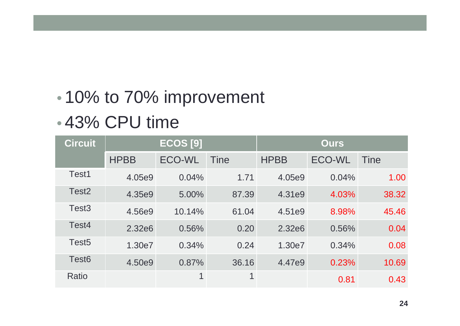#### •• 10% to 70% improvement

#### • 43% CPU time

| <b>Circuit</b>    | $ECOS$ [9]  |               |       | <b>Ours</b>        |        |             |
|-------------------|-------------|---------------|-------|--------------------|--------|-------------|
|                   | <b>HPBB</b> | <b>ECO-WL</b> | Tine  | <b>HPBB</b>        | ECO-WL | <b>Tine</b> |
| Test1             | 4.05e9      | 0.04%         | 1.71  | 4.05e9             | 0.04%  | 1.00        |
| Test <sub>2</sub> | 4.35e9      | $5.00\%$      | 87.39 | 4.31e9             | 4.03%  | 38.32       |
| Test <sub>3</sub> | 4.56e9      | 10.14%        | 61.04 | 4.51e9             | 8.98%  | 45.46       |
| Test4             | 2.32e6      | 0.56%         | 0.20  | 2.32e <sub>6</sub> | 0.56%  | 0.04        |
| Test <sub>5</sub> | 1.30e7      | 0.34%         | 0.24  | 1.30e7             | 0.34%  | 0.08        |
| Test <sub>6</sub> | 4.50e9      | 0.87%         | 36.16 | 4.47e9             | 0.23%  | 10.69       |
| Ratio             |             | $\mathbf 1$   | 1     |                    | 0.81   | 0.43        |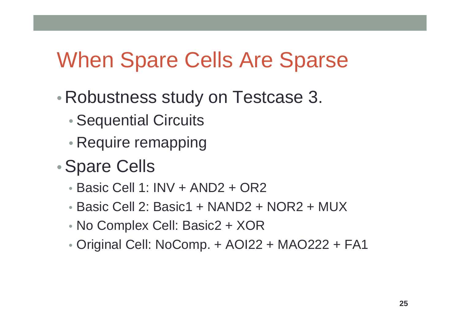#### When Spare Cells Are Sparse

- • Robustness study on Testcase 3.
	- •Sequential Circuits
	- Require remapping

#### •Spare Cells

- Basic Cell 1: INV + AND2 + OR2
- Basic Cell 2: Basic1 + NAND2 + NOR2 + MUX
- No Complex Cell: Basic2 + XOR
- Original Cell: NoComp. + AOI22 + MAO222 + FA1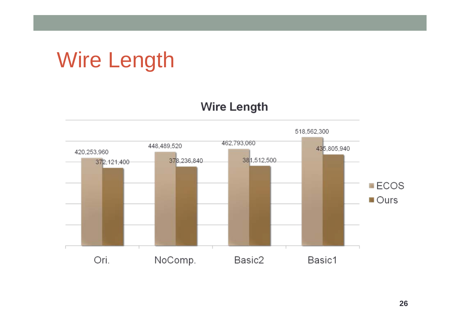# Wire Length

#### **Wire Length**

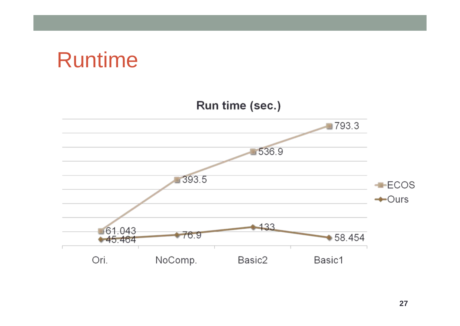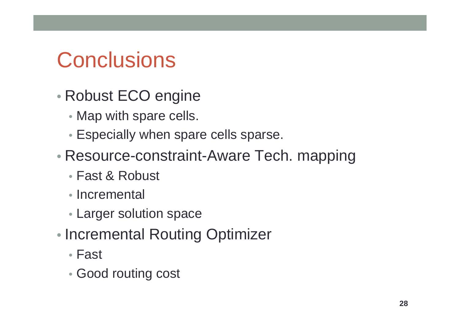#### **Conclusions**

- $\bullet$  Robust ECO engine
	- Map with spare cells.
	- Especially when spare cells sparse.
- Resource-constraint-Aware Tech. mapping
	- Fast & Robust
	- Incremental
	- Larger solution space
- $\bullet$ • Incremental Routing Optimizer
	- Fast
	- Good routing cost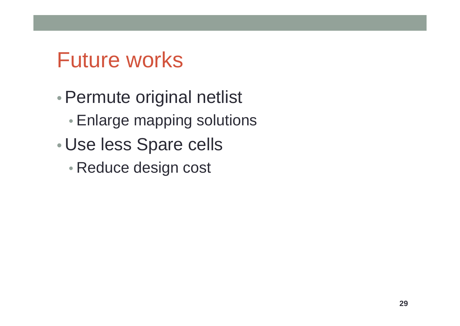#### Future works

- Permute original netlist
	- Enlarge mapping solutions
- • Use less Spare cells
	- Reduce design cost